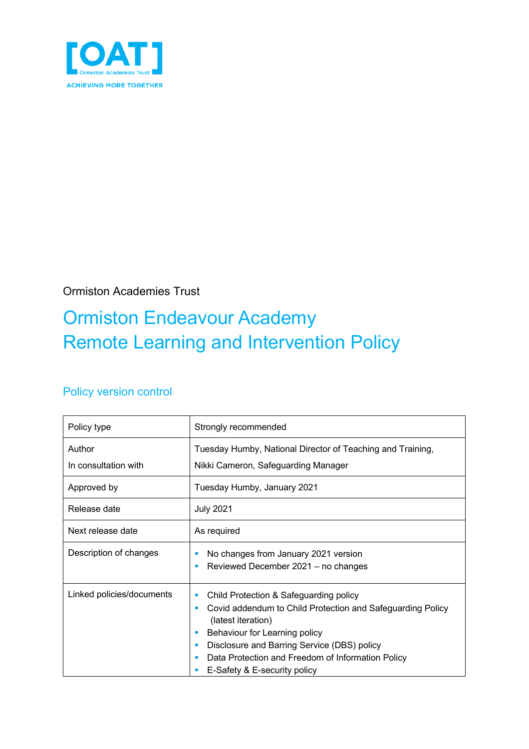

### Ormiston Academies Trust

# Ormiston Endeavour Academy Remote Learning and Intervention Policy

### Policy version control

| Policy type                    | Strongly recommended                                                                                                                                                                                                                                                                                      |  |  |
|--------------------------------|-----------------------------------------------------------------------------------------------------------------------------------------------------------------------------------------------------------------------------------------------------------------------------------------------------------|--|--|
| Author<br>In consultation with | Tuesday Humby, National Director of Teaching and Training,<br>Nikki Cameron, Safeguarding Manager                                                                                                                                                                                                         |  |  |
| Approved by                    | Tuesday Humby, January 2021                                                                                                                                                                                                                                                                               |  |  |
| Release date                   | <b>July 2021</b>                                                                                                                                                                                                                                                                                          |  |  |
| Next release date              | As required                                                                                                                                                                                                                                                                                               |  |  |
| Description of changes         | No changes from January 2021 version<br>Reviewed December 2021 - no changes<br>п                                                                                                                                                                                                                          |  |  |
| Linked policies/documents      | Child Protection & Safeguarding policy<br>Covid addendum to Child Protection and Safeguarding Policy<br>٠<br>(latest iteration)<br>Behaviour for Learning policy<br>ш<br>Disclosure and Barring Service (DBS) policy<br>Data Protection and Freedom of Information Policy<br>E-Safety & E-security policy |  |  |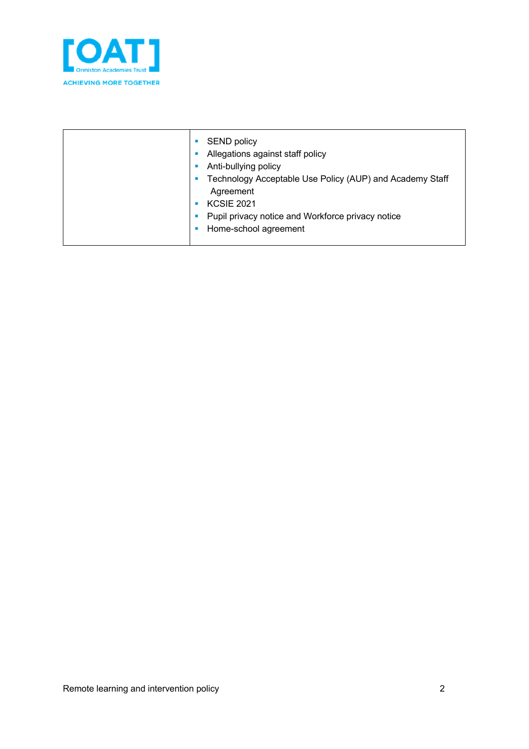

| Anti-bullying policy<br>Technology Acceptable Use Policy (AUP) and Academy Staff<br>Agreement<br><b>KCSIE 2021</b><br>Pupil privacy notice and Workforce privacy notice<br>Home-school agreement |
|--------------------------------------------------------------------------------------------------------------------------------------------------------------------------------------------------|
|--------------------------------------------------------------------------------------------------------------------------------------------------------------------------------------------------|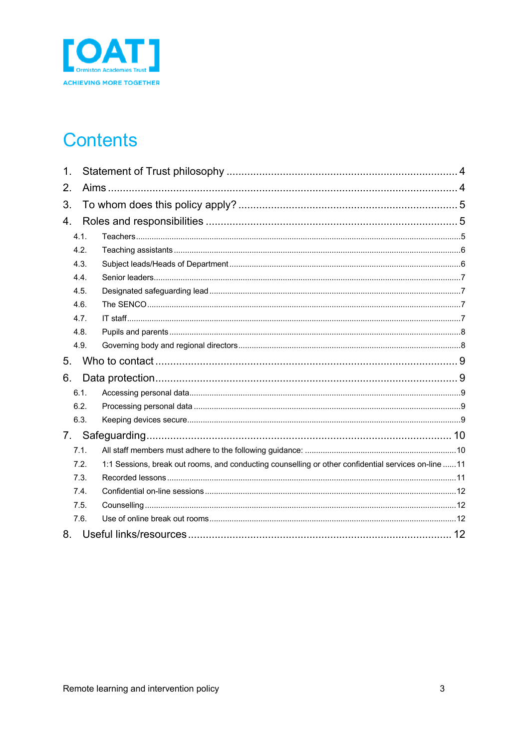

### **Contents**

| 1. |      |                                                                                                      |  |
|----|------|------------------------------------------------------------------------------------------------------|--|
| 2. |      |                                                                                                      |  |
| 3. |      |                                                                                                      |  |
| 4. |      |                                                                                                      |  |
|    | 4.1. |                                                                                                      |  |
|    | 4.2. |                                                                                                      |  |
|    | 4.3. |                                                                                                      |  |
|    | 4.4. |                                                                                                      |  |
|    | 4.5. |                                                                                                      |  |
|    | 4.6. |                                                                                                      |  |
|    | 4.7. |                                                                                                      |  |
|    | 4.8. |                                                                                                      |  |
|    | 4.9. |                                                                                                      |  |
| 5. |      |                                                                                                      |  |
| 6. |      |                                                                                                      |  |
|    | 6.1. |                                                                                                      |  |
|    | 6.2. |                                                                                                      |  |
|    | 6.3. |                                                                                                      |  |
| 7. |      |                                                                                                      |  |
|    | 7.1. |                                                                                                      |  |
|    | 7.2. | 1:1 Sessions, break out rooms, and conducting counselling or other confidential services on-line  11 |  |
|    | 7.3. |                                                                                                      |  |
|    | 7.4. |                                                                                                      |  |
|    | 7.5. |                                                                                                      |  |
|    | 7.6. |                                                                                                      |  |
| 8. |      |                                                                                                      |  |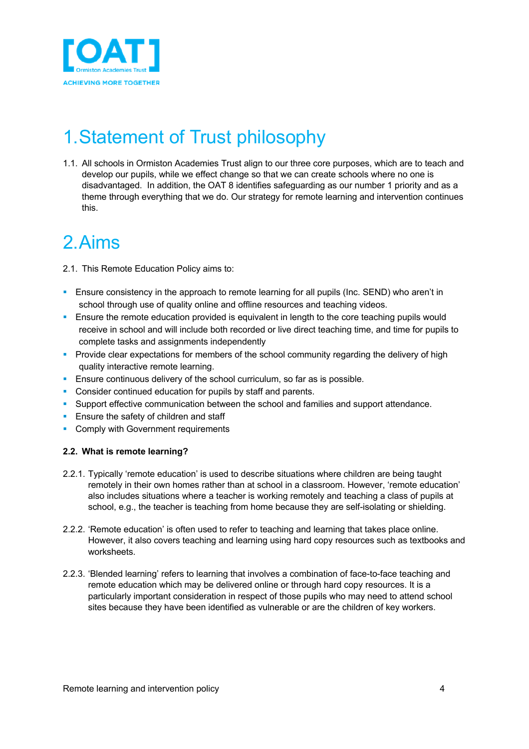

## 1.Statement of Trust philosophy

1.1. All schools in Ormiston Academies Trust align to our three core purposes, which are to teach and develop our pupils, while we effect change so that we can create schools where no one is disadvantaged. In addition, the OAT 8 identifies safeguarding as our number 1 priority and as a theme through everything that we do. Our strategy for remote learning and intervention continues this.

### 2.Aims

- 2.1. This Remote Education Policy aims to:
- **E** Ensure consistency in the approach to remote learning for all pupils (Inc. SEND) who aren't in school through use of quality online and offline resources and teaching videos.
- Ensure the remote education provided is equivalent in length to the core teaching pupils would receive in school and will include both recorded or live direct teaching time, and time for pupils to complete tasks and assignments independently
- **Provide clear expectations for members of the school community regarding the delivery of high** quality interactive remote learning.
- **Ensure continuous delivery of the school curriculum, so far as is possible.**
- Consider continued education for pupils by staff and parents.
- § Support effective communication between the school and families and support attendance.
- **Ensure the safety of children and staff**
- Comply with Government requirements

#### **2.2. What is remote learning?**

- 2.2.1. Typically 'remote education' is used to describe situations where children are being taught remotely in their own homes rather than at school in a classroom. However, 'remote education' also includes situations where a teacher is working remotely and teaching a class of pupils at school, e.g., the teacher is teaching from home because they are self-isolating or shielding.
- 2.2.2. 'Remote education' is often used to refer to teaching and learning that takes place online. However, it also covers teaching and learning using hard copy resources such as textbooks and worksheets.
- 2.2.3. 'Blended learning' refers to learning that involves a combination of face-to-face teaching and remote education which may be delivered online or through hard copy resources. It is a particularly important consideration in respect of those pupils who may need to attend school sites because they have been identified as vulnerable or are the children of key workers.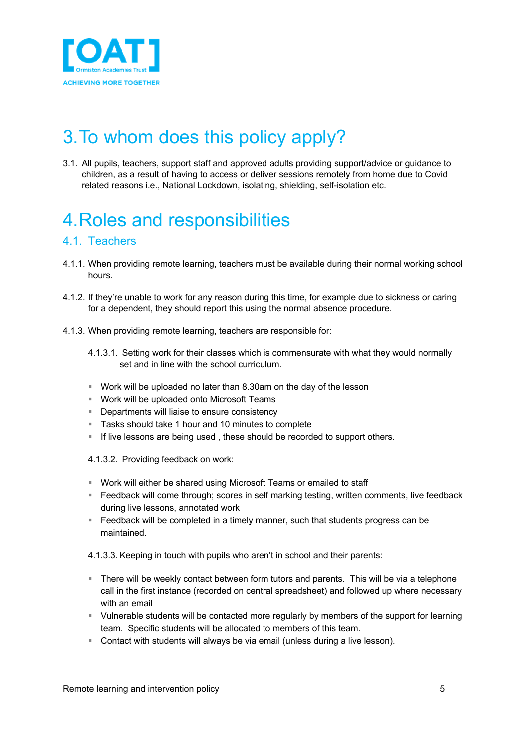

# 3.To whom does this policy apply?

3.1. All pupils, teachers, support staff and approved adults providing support/advice or guidance to children, as a result of having to access or deliver sessions remotely from home due to Covid related reasons i.e., National Lockdown, isolating, shielding, self-isolation etc.

# 4.Roles and responsibilities

#### 4.1. Teachers

- 4.1.1. When providing remote learning, teachers must be available during their normal working school hours.
- 4.1.2. If they're unable to work for any reason during this time, for example due to sickness or caring for a dependent, they should report this using the normal absence procedure.
- 4.1.3. When providing remote learning, teachers are responsible for:
	- 4.1.3.1. Setting work for their classes which is commensurate with what they would normally set and in line with the school curriculum.
	- § Work will be uploaded no later than 8.30am on the day of the lesson
	- Work will be uploaded onto Microsoft Teams
	- Departments will liaise to ensure consistency
	- Tasks should take 1 hour and 10 minutes to complete
	- If live lessons are being used, these should be recorded to support others.
	- 4.1.3.2. Providing feedback on work:
	- Work will either be shared using Microsoft Teams or emailed to staff
	- § Feedback will come through; scores in self marking testing, written comments, live feedback during live lessons, annotated work
	- Feedback will be completed in a timely manner, such that students progress can be maintained.
	- 4.1.3.3. Keeping in touch with pupils who aren't in school and their parents:
	- § There will be weekly contact between form tutors and parents. This will be via a telephone call in the first instance (recorded on central spreadsheet) and followed up where necessary with an email
	- § Vulnerable students will be contacted more regularly by members of the support for learning team. Specific students will be allocated to members of this team.
	- Contact with students will always be via email (unless during a live lesson).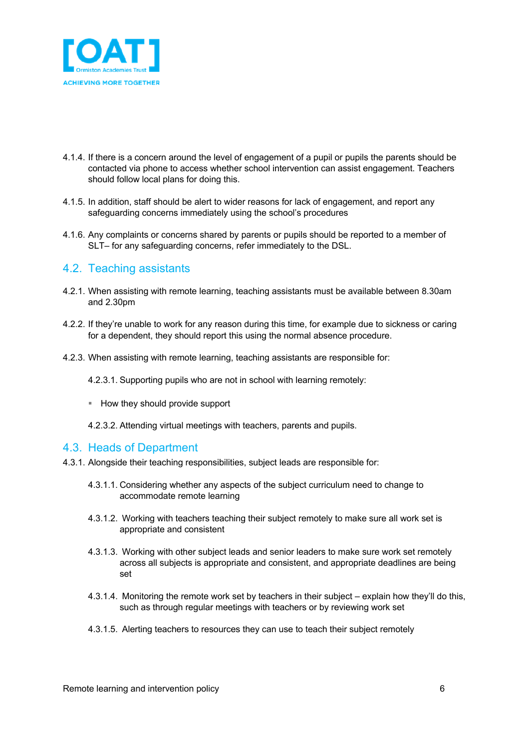

- 4.1.4. If there is a concern around the level of engagement of a pupil or pupils the parents should be contacted via phone to access whether school intervention can assist engagement. Teachers should follow local plans for doing this.
- 4.1.5. In addition, staff should be alert to wider reasons for lack of engagement, and report any safeguarding concerns immediately using the school's procedures
- 4.1.6. Any complaints or concerns shared by parents or pupils should be reported to a member of SLT– for any safeguarding concerns, refer immediately to the DSL.

#### 4.2. Teaching assistants

- 4.2.1. When assisting with remote learning, teaching assistants must be available between 8.30am and 2.30pm
- 4.2.2. If they're unable to work for any reason during this time, for example due to sickness or caring for a dependent, they should report this using the normal absence procedure.
- 4.2.3. When assisting with remote learning, teaching assistants are responsible for:
	- 4.2.3.1. Supporting pupils who are not in school with learning remotely:
	- How they should provide support
	- 4.2.3.2. Attending virtual meetings with teachers, parents and pupils.

#### 4.3. Heads of Department

- 4.3.1. Alongside their teaching responsibilities, subject leads are responsible for:
	- 4.3.1.1. Considering whether any aspects of the subject curriculum need to change to accommodate remote learning
	- 4.3.1.2. Working with teachers teaching their subject remotely to make sure all work set is appropriate and consistent
	- 4.3.1.3. Working with other subject leads and senior leaders to make sure work set remotely across all subjects is appropriate and consistent, and appropriate deadlines are being set
	- 4.3.1.4. Monitoring the remote work set by teachers in their subject explain how they'll do this, such as through regular meetings with teachers or by reviewing work set
	- 4.3.1.5. Alerting teachers to resources they can use to teach their subject remotely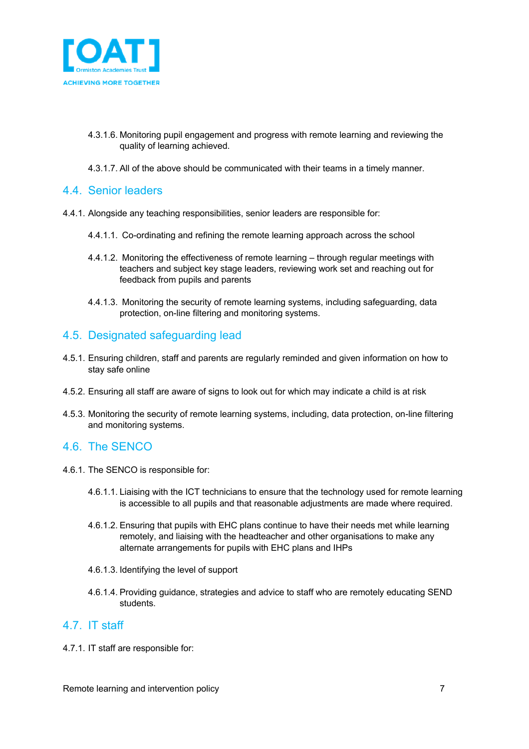

- 4.3.1.6. Monitoring pupil engagement and progress with remote learning and reviewing the quality of learning achieved.
- 4.3.1.7. All of the above should be communicated with their teams in a timely manner.

#### 4.4. Senior leaders

- 4.4.1. Alongside any teaching responsibilities, senior leaders are responsible for:
	- 4.4.1.1. Co-ordinating and refining the remote learning approach across the school
	- 4.4.1.2. Monitoring the effectiveness of remote learning through regular meetings with teachers and subject key stage leaders, reviewing work set and reaching out for feedback from pupils and parents
	- 4.4.1.3. Monitoring the security of remote learning systems, including safeguarding, data protection, on-line filtering and monitoring systems.

#### 4.5. Designated safeguarding lead

- 4.5.1. Ensuring children, staff and parents are regularly reminded and given information on how to stay safe online
- 4.5.2. Ensuring all staff are aware of signs to look out for which may indicate a child is at risk
- 4.5.3. Monitoring the security of remote learning systems, including, data protection, on-line filtering and monitoring systems.

#### 4.6. The SENCO

- 4.6.1. The SENCO is responsible for:
	- 4.6.1.1. Liaising with the ICT technicians to ensure that the technology used for remote learning is accessible to all pupils and that reasonable adjustments are made where required.
	- 4.6.1.2. Ensuring that pupils with EHC plans continue to have their needs met while learning remotely, and liaising with the headteacher and other organisations to make any alternate arrangements for pupils with EHC plans and IHPs
	- 4.6.1.3. Identifying the level of support
	- 4.6.1.4. Providing guidance, strategies and advice to staff who are remotely educating SEND students.

#### 4.7. IT staff

4.7.1. IT staff are responsible for: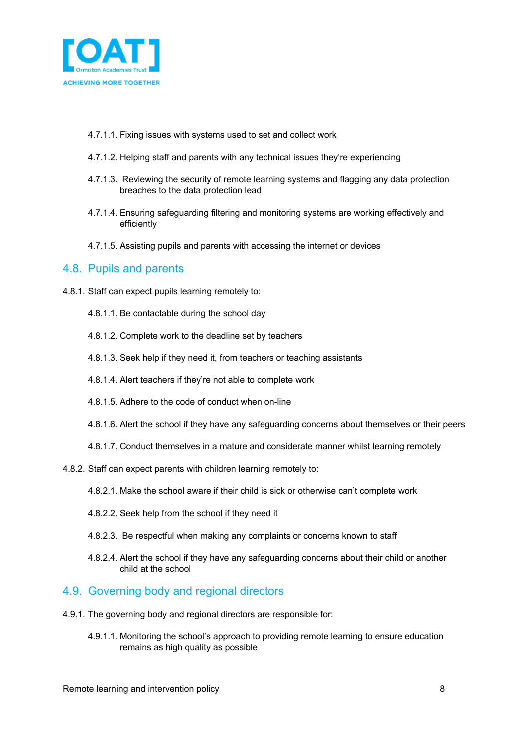

- 4.7.1.1. Fixing issues with systems used to set and collect work
- 4.7.1.2. Helping staff and parents with any technical issues they're experiencing
- 4.7.1.3. Reviewing the security of remote learning systems and flagging any data protection breaches to the data protection lead
- 4.7.1.4. Ensuring safeguarding filtering and monitoring systems are working effectively and efficiently
- 4.7.1.5. Assisting pupils and parents with accessing the internet or devices

#### 4.8. Pupils and parents

- 4.8.1. Staff can expect pupils learning remotely to:
	- 4.8.1.1. Be contactable during the school day
	- 4.8.1.2. Complete work to the deadline set by teachers
	- 4.8.1.3. Seek help if they need it, from teachers or teaching assistants
	- 4.8.1.4. Alert teachers if they're not able to complete work
	- 4.8.1.5. Adhere to the code of conduct when on-line
	- 4.8.1.6. Alert the school if they have any safeguarding concerns about themselves or their peers
	- 4.8.1.7. Conduct themselves in a mature and considerate manner whilst learning remotely
- 4.8.2. Staff can expect parents with children learning remotely to:
	- 4.8.2.1. Make the school aware if their child is sick or otherwise can't complete work
	- 4.8.2.2. Seek help from the school if they need it
	- 4.8.2.3. Be respectful when making any complaints or concerns known to staff
	- 4.8.2.4. Alert the school if they have any safeguarding concerns about their child or another child at the school

#### 4.9. Governing body and regional directors

- 4.9.1. The governing body and regional directors are responsible for:
	- 4.9.1.1. Monitoring the school's approach to providing remote learning to ensure education remains as high quality as possible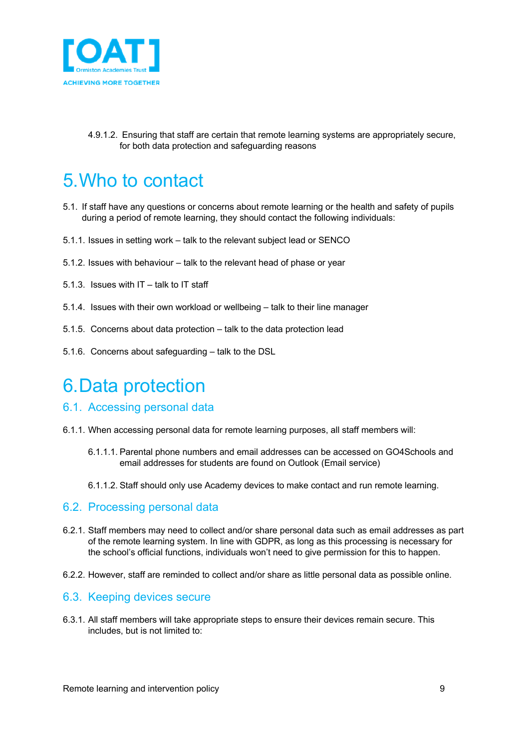

4.9.1.2. Ensuring that staff are certain that remote learning systems are appropriately secure, for both data protection and safeguarding reasons

### 5.Who to contact

- 5.1. If staff have any questions or concerns about remote learning or the health and safety of pupils during a period of remote learning, they should contact the following individuals:
- 5.1.1. Issues in setting work talk to the relevant subject lead or SENCO
- 5.1.2. Issues with behaviour talk to the relevant head of phase or year
- 5.1.3. Issues with IT talk to IT staff
- 5.1.4. Issues with their own workload or wellbeing talk to their line manager
- 5.1.5. Concerns about data protection talk to the data protection lead
- 5.1.6. Concerns about safeguarding talk to the DSL

### 6.Data protection

- 6.1. Accessing personal data
- 6.1.1. When accessing personal data for remote learning purposes, all staff members will:
	- 6.1.1.1. Parental phone numbers and email addresses can be accessed on GO4Schools and email addresses for students are found on Outlook (Email service)
	- 6.1.1.2. Staff should only use Academy devices to make contact and run remote learning.

#### 6.2. Processing personal data

- 6.2.1. Staff members may need to collect and/or share personal data such as email addresses as part of the remote learning system. In line with GDPR, as long as this processing is necessary for the school's official functions, individuals won't need to give permission for this to happen.
- 6.2.2. However, staff are reminded to collect and/or share as little personal data as possible online.

#### 6.3. Keeping devices secure

6.3.1. All staff members will take appropriate steps to ensure their devices remain secure. This includes, but is not limited to: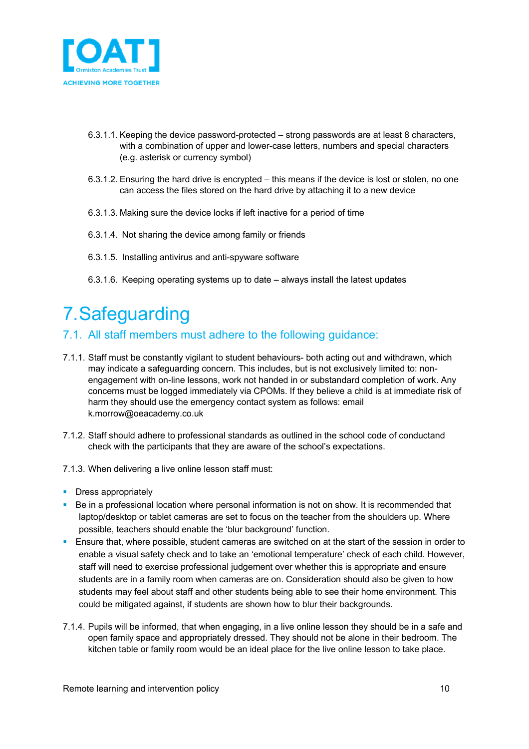

- 6.3.1.1. Keeping the device password-protected strong passwords are at least 8 characters, with a combination of upper and lower-case letters, numbers and special characters (e.g. asterisk or currency symbol)
- 6.3.1.2. Ensuring the hard drive is encrypted this means if the device is lost or stolen, no one can access the files stored on the hard drive by attaching it to a new device
- 6.3.1.3. Making sure the device locks if left inactive for a period of time
- 6.3.1.4. Not sharing the device among family or friends
- 6.3.1.5. Installing antivirus and anti-spyware software
- 6.3.1.6. Keeping operating systems up to date always install the latest updates

# 7.Safeguarding

#### 7.1. All staff members must adhere to the following guidance:

- 7.1.1. Staff must be constantly vigilant to student behaviours- both acting out and withdrawn, which may indicate a safeguarding concern. This includes, but is not exclusively limited to: nonengagement with on-line lessons, work not handed in or substandard completion of work. Any concerns must be logged immediately via CPOMs. If they believe a child is at immediate risk of harm they should use the emergency contact system as follows: email k.morrow@oeacademy.co.uk
- 7.1.2. Staff should adhere to professional standards as outlined in the school code of conductand check with the participants that they are aware of the school's expectations.
- 7.1.3. When delivering a live online lesson staff must:
- Dress appropriately
- Be in a professional location where personal information is not on show. It is recommended that laptop/desktop or tablet cameras are set to focus on the teacher from the shoulders up. Where possible, teachers should enable the 'blur background' function.
- **E** Ensure that, where possible, student cameras are switched on at the start of the session in order to enable a visual safety check and to take an 'emotional temperature' check of each child. However, staff will need to exercise professional judgement over whether this is appropriate and ensure students are in a family room when cameras are on. Consideration should also be given to how students may feel about staff and other students being able to see their home environment. This could be mitigated against, if students are shown how to blur their backgrounds.
- 7.1.4. Pupils will be informed, that when engaging, in a live online lesson they should be in a safe and open family space and appropriately dressed. They should not be alone in their bedroom. The kitchen table or family room would be an ideal place for the live online lesson to take place.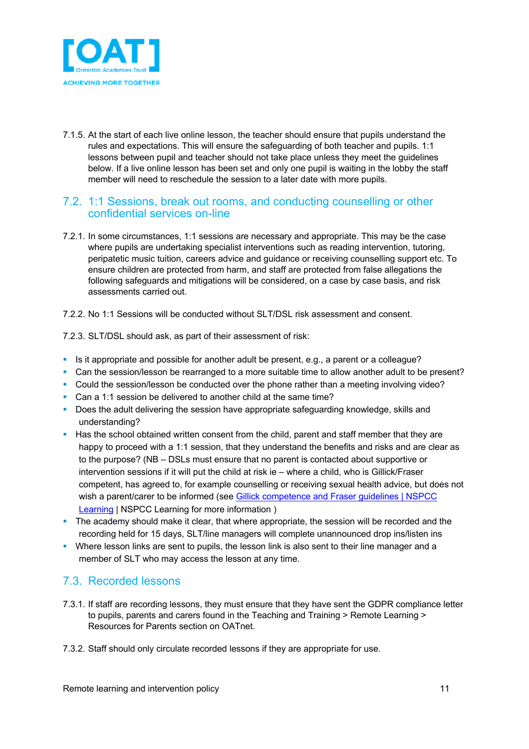

7.1.5. At the start of each live online lesson, the teacher should ensure that pupils understand the rules and expectations. This will ensure the safeguarding of both teacher and pupils. 1:1 lessons between pupil and teacher should not take place unless they meet the guidelines below. If a live online lesson has been set and only one pupil is waiting in the lobby the staff member will need to reschedule the session to a later date with more pupils.

#### 7.2. 1:1 Sessions, break out rooms, and conducting counselling or other confidential services on-line

- 7.2.1. In some circumstances, 1:1 sessions are necessary and appropriate. This may be the case where pupils are undertaking specialist interventions such as reading intervention, tutoring, peripatetic music tuition, careers advice and guidance or receiving counselling support etc. To ensure children are protected from harm, and staff are protected from false allegations the following safeguards and mitigations will be considered, on a case by case basis, and risk assessments carried out.
- 7.2.2. No 1:1 Sessions will be conducted without SLT/DSL risk assessment and consent.

7.2.3. SLT/DSL should ask, as part of their assessment of risk:

- Is it appropriate and possible for another adult be present, e.g., a parent or a colleague?
- Can the session/lesson be rearranged to a more suitable time to allow another adult to be present?
- Could the session/lesson be conducted over the phone rather than a meeting involving video?
- Can a 1:1 session be delivered to another child at the same time?
- Does the adult delivering the session have appropriate safeguarding knowledge, skills and understanding?
- Has the school obtained written consent from the child, parent and staff member that they are happy to proceed with a 1:1 session, that they understand the benefits and risks and are clear as to the purpose? (NB – DSLs must ensure that no parent is contacted about supportive or intervention sessions if it will put the child at risk ie – where a child, who is Gillick/Fraser competent, has agreed to, for example counselling or receiving sexual health advice, but does not wish a parent/carer to be informed (see Gillick competence and Fraser guidelines | NSPCC Learning | NSPCC Learning for more information )
- The academy should make it clear, that where appropriate, the session will be recorded and the recording held for 15 days, SLT/line managers will complete unannounced drop ins/listen ins
- Where lesson links are sent to pupils, the lesson link is also sent to their line manager and a member of SLT who may access the lesson at any time.

#### 7.3. Recorded lessons

- 7.3.1. If staff are recording lessons, they must ensure that they have sent the GDPR compliance letter to pupils, parents and carers found in the Teaching and Training > Remote Learning > Resources for Parents section on OATnet.
- 7.3.2. Staff should only circulate recorded lessons if they are appropriate for use.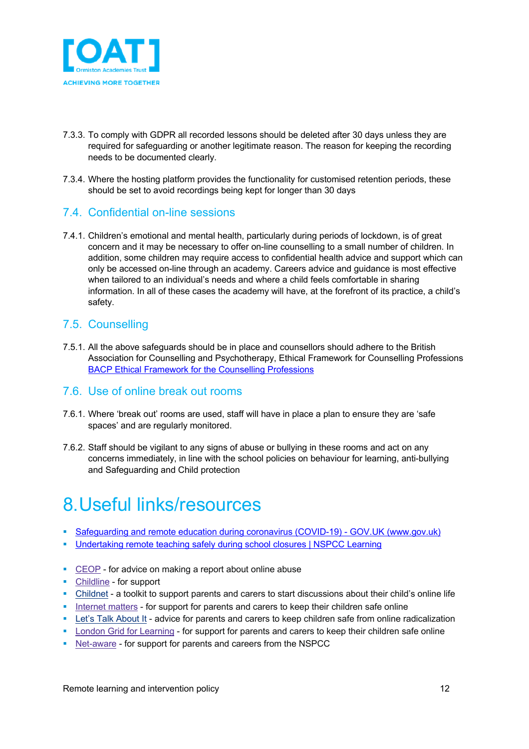

- 7.3.3. To comply with GDPR all recorded lessons should be deleted after 30 days unless they are required for safeguarding or another legitimate reason. The reason for keeping the recording needs to be documented clearly.
- 7.3.4. Where the hosting platform provides the functionality for customised retention periods, these should be set to avoid recordings being kept for longer than 30 days

#### 7.4. Confidential on-line sessions

7.4.1. Children's emotional and mental health, particularly during periods of lockdown, is of great concern and it may be necessary to offer on-line counselling to a small number of children. In addition, some children may require access to confidential health advice and support which can only be accessed on-line through an academy. Careers advice and guidance is most effective when tailored to an individual's needs and where a child feels comfortable in sharing information. In all of these cases the academy will have, at the forefront of its practice, a child's safety.

#### 7.5. Counselling

7.5.1. All the above safeguards should be in place and counsellors should adhere to the British Association for Counselling and Psychotherapy, Ethical Framework for Counselling Professions BACP Ethical Framework for the Counselling Professions

#### 7.6. Use of online break out rooms

- 7.6.1. Where 'break out' rooms are used, staff will have in place a plan to ensure they are 'safe spaces' and are regularly monitored.
- 7.6.2. Staff should be vigilant to any signs of abuse or bullying in these rooms and act on any concerns immediately, in line with the school policies on behaviour for learning, anti-bullying and Safeguarding and Child protection

### 8.Useful links/resources

- Safeguarding and remote education during coronavirus (COVID-19) GOV.UK (www.gov.uk)
- § Undertaking remote teaching safely during school closures | NSPCC Learning
- CEOP for advice on making a report about online abuse
- Childline for support
- § Childnet a toolkit to support parents and carers to start discussions about their child's online life
- § Internet matters for support for parents and carers to keep their children safe online
- Let's Talk About It advice for parents and carers to keep children safe from online radicalization
- London Grid for Learning for support for parents and carers to keep their children safe online
- Net-aware for support for parents and careers from the NSPCC